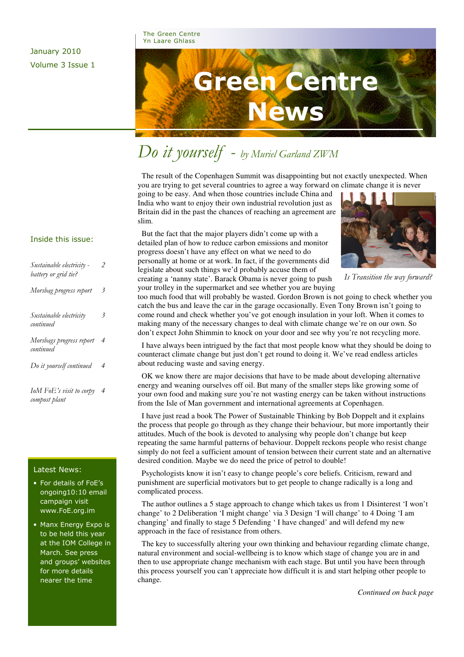## January 2010 Volume 3 Issue 1

The Green Centre Yn Laare Ghlass



# Do it yourself - by Muriel Garland ZWM

 The result of the Copenhagen Summit was disappointing but not exactly unexpected. When you are trying to get several countries to agree a way forward on climate change it is never

going to be easy. And when those countries include China and India who want to enjoy their own industrial revolution just as Britain did in the past the chances of reaching an agreement are slim.

 But the fact that the major players didn't come up with a detailed plan of how to reduce carbon emissions and monitor progress doesn't have any effect on what we need to do personally at home or at work. In fact, if the governments did legislate about such things we'd probably accuse them of creating a 'nanny state'. Barack Obama is never going to push your trolley in the supermarket and see whether you are buying



Is Transition the way forward?

too much food that will probably be wasted. Gordon Brown is not going to check whether you catch the bus and leave the car in the garage occasionally. Even Tony Brown isn't going to come round and check whether you've got enough insulation in your loft. When it comes to making many of the necessary changes to deal with climate change we're on our own. So don't expect John Shimmin to knock on your door and see why you're not recycling more.

 I have always been intrigued by the fact that most people know what they should be doing to counteract climate change but just don't get round to doing it. We've read endless articles about reducing waste and saving energy.

 OK we know there are major decisions that have to be made about developing alternative energy and weaning ourselves off oil. But many of the smaller steps like growing some of your own food and making sure you're not wasting energy can be taken without instructions from the Isle of Man government and international agreements at Copenhagen.

 I have just read a book The Power of Sustainable Thinking by Bob Doppelt and it explains the process that people go through as they change their behaviour, but more importantly their attitudes. Much of the book is devoted to analysing why people don't change but keep repeating the same harmful patterns of behaviour. Doppelt reckons people who resist change simply do not feel a sufficient amount of tension between their current state and an alternative desired condition. Maybe we do need the price of petrol to double!

 Psychologists know it isn't easy to change people's core beliefs. Criticism, reward and punishment are superficial motivators but to get people to change radically is a long and complicated process.

The author outlines a 5 stage approach to change which takes us from 1 Disinterest 'I won't change' to 2 Deliberation 'I might change' via 3 Design 'I will change' to 4 Doing 'I am changing' and finally to stage 5 Defending ' I have changed' and will defend my new approach in the face of resistance from others.

 The key to successfully altering your own thinking and behaviour regarding climate change, natural environment and social-wellbeing is to know which stage of change you are in and then to use appropriate change mechanism with each stage. But until you have been through this process yourself you can't appreciate how difficult it is and start helping other people to change.

*Continued on back page* 

### Inside this issue:

| Sustainable electricity -<br>battery or grid tie? | 2              |
|---------------------------------------------------|----------------|
| Morsbag progress report                           | 3              |
| Sustainable electricity<br>continued              | 3              |
| Morsbags progress report<br>continued             | $\overline{4}$ |
| Do it yourself continued                          | 4              |
| IoM FoE's visit to corpy<br>compost plant         | 4              |

### Latest News:

- For details of FoE's ongoing10:10 email campaign visit www.FoE.org.im
- Manx Energy Expo is to be held this year at the IOM College in March. See press and groups' websites for more details nearer the time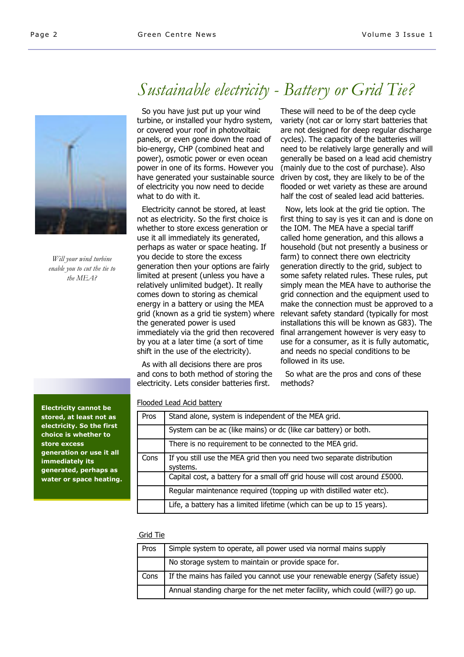

Will your wind turbine enable you to cut the tie to the MEA?

Sustainable electricity - Battery or Grid Tie?

 So you have just put up your wind turbine, or installed your hydro system, or covered your roof in photovoltaic panels, or even gone down the road of bio-energy, CHP (combined heat and power), osmotic power or even ocean power in one of its forms. However you have generated your sustainable source of electricity you now need to decide what to do with it.

 Electricity cannot be stored, at least not as electricity. So the first choice is whether to store excess generation or use it all immediately its generated, perhaps as water or space heating. If you decide to store the excess generation then your options are fairly limited at present (unless you have a relatively unlimited budget). It really comes down to storing as chemical energy in a battery or using the MEA grid (known as a grid tie system) where the generated power is used immediately via the grid then recovered by you at a later time (a sort of time shift in the use of the electricity).

 As with all decisions there are pros and cons to both method of storing the electricity. Lets consider batteries first.

These will need to be of the deep cycle variety (not car or lorry start batteries that are not designed for deep regular discharge cycles). The capacity of the batteries will need to be relatively large generally and will generally be based on a lead acid chemistry (mainly due to the cost of purchase). Also driven by cost, they are likely to be of the flooded or wet variety as these are around half the cost of sealed lead acid batteries.

 Now, lets look at the grid tie option. The first thing to say is yes it can and is done on the IOM. The MEA have a special tariff called home generation, and this allows a household (but not presently a business or farm) to connect there own electricity generation directly to the grid, subject to some safety related rules. These rules, put simply mean the MEA have to authorise the grid connection and the equipment used to make the connection must be approved to a relevant safety standard (typically for most installations this will be known as G83). The final arrangement however is very easy to use for a consumer, as it is fully automatic, and needs no special conditions to be followed in its use.

 So what are the pros and cons of these methods?

### Flooded Lead Acid battery

| Pros | Stand alone, system is independent of the MEA grid.                               |
|------|-----------------------------------------------------------------------------------|
|      | System can be ac (like mains) or dc (like car battery) or both.                   |
|      | There is no requirement to be connected to the MEA grid.                          |
| Cons | If you still use the MEA grid then you need two separate distribution<br>systems. |
|      | Capital cost, a battery for a small off grid house will cost around £5000.        |
|      | Regular maintenance required (topping up with distilled water etc).               |
|      | Life, a battery has a limited lifetime (which can be up to 15 years).             |

#### Grid Tie

| Pros | Simple system to operate, all power used via normal mains supply              |
|------|-------------------------------------------------------------------------------|
|      | No storage system to maintain or provide space for.                           |
| Cons | If the mains has failed you cannot use your renewable energy (Safety issue)   |
|      | Annual standing charge for the net meter facility, which could (will?) go up. |

Electricity cannot be stored, at least not as electricity. So the first choice is whether to store excess generation or use it all immediately its generated, perhaps as water or space heating.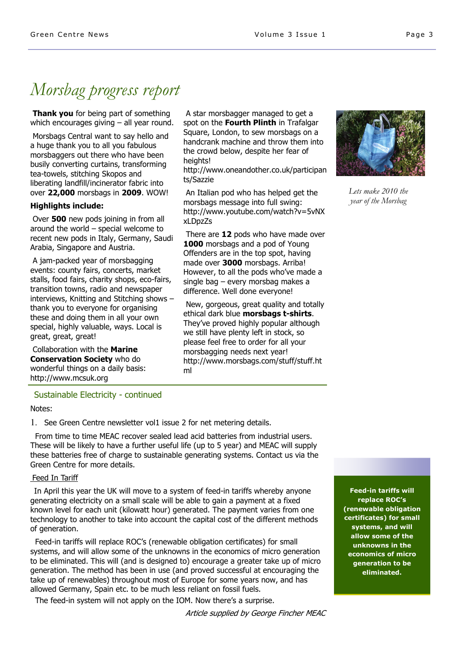# Morsbag progress report

**Thank you** for being part of something which encourages giving – all year round.

 Morsbags Central want to say hello and a huge thank you to all you fabulous morsbaggers out there who have been busily converting curtains, transforming tea-towels, stitching Skopos and liberating landfill/incinerator fabric into over 22,000 morsbags in 2009. WOW!

### Highlights include:

Over **500** new pods joining in from all around the world – special welcome to recent new pods in Italy, Germany, Saudi Arabia, Singapore and Austria.

 A jam-packed year of morsbagging events: county fairs, concerts, market stalls, food fairs, charity shops, eco-fairs, transition towns, radio and newspaper interviews, Knitting and Stitching shows – thank you to everyone for organising these and doing them in all your own special, highly valuable, ways. Local is great, great, great!

 Collaboration with the Marine Conservation Society who do wonderful things on a daily basis: http://www.mcsuk.org

 A star morsbagger managed to get a spot on the Fourth Plinth in Trafalgar Square, London, to sew morsbags on a handcrank machine and throw them into the crowd below, despite her fear of heights!

http://www.oneandother.co.uk/participan ts/Sazzie

 An Italian pod who has helped get the morsbags message into full swing: http://www.youtube.com/watch?v=5vNX xLDpzZs

There are 12 pods who have made over 1000 morsbags and a pod of Young Offenders are in the top spot, having made over 3000 morsbags. Arriba! However, to all the pods who've made a single bag – every morsbag makes a difference. Well done everyone!

 New, gorgeous, great quality and totally ethical dark blue morsbags t-shirts. They've proved highly popular although we still have plenty left in stock, so please feel free to order for all your morsbagging needs next year! http://www.morsbags.com/stuff/stuff.ht ml



Lets make 2010 the year of the Morsbag

Sustainable Electricity - continued

Notes:

1. See Green Centre newsletter vol1 issue 2 for net metering details.

 From time to time MEAC recover sealed lead acid batteries from industrial users. These will be likely to have a further useful life (up to 5 year) and MEAC will supply these batteries free of charge to sustainable generating systems. Contact us via the Green Centre for more details.

### Feed In Tariff

 In April this year the UK will move to a system of feed-in tariffs whereby anyone generating electricity on a small scale will be able to gain a payment at a fixed known level for each unit (kilowatt hour) generated. The payment varies from one technology to another to take into account the capital cost of the different methods of generation.

 Feed-in tariffs will replace ROC's (renewable obligation certificates) for small systems, and will allow some of the unknowns in the economics of micro generation to be eliminated. This will (and is designed to) encourage a greater take up of micro generation. The method has been in use (and proved successful at encouraging the take up of renewables) throughout most of Europe for some years now, and has allowed Germany, Spain etc. to be much less reliant on fossil fuels.

The feed-in system will not apply on the IOM. Now there's a surprise.

Article supplied by George Fincher MEAC

Feed-in tariffs will replace ROC's (renewable obligation certificates) for small systems, and will allow some of the unknowns in the economics of micro generation to be eliminated.